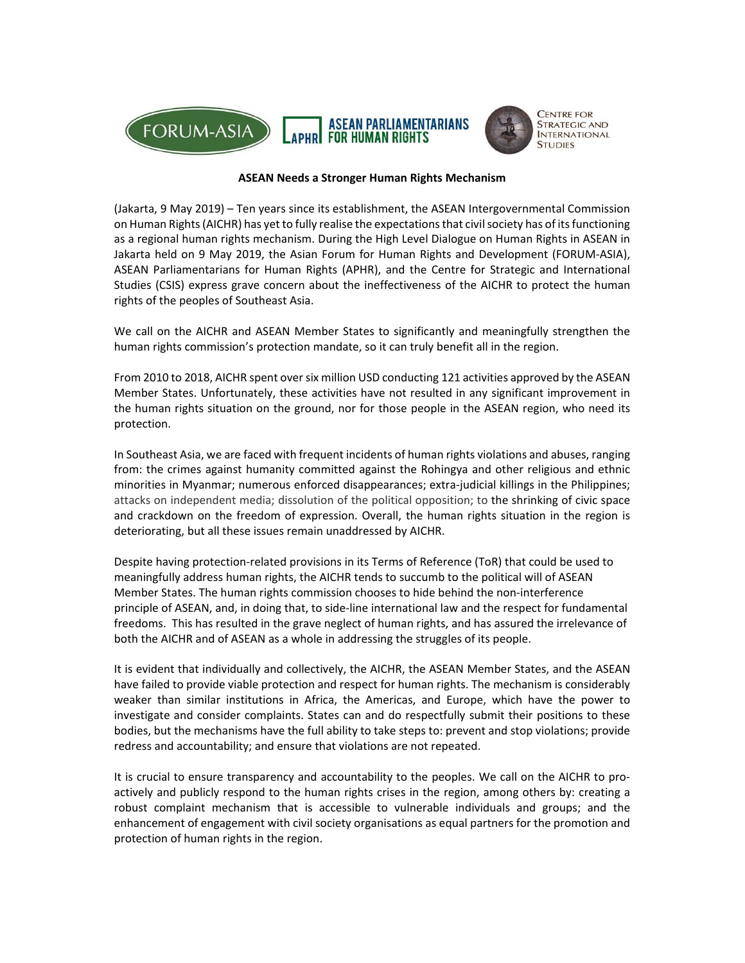



## **ASEAN Needs a Stronger Human Rights Mechanism**

(Jakarta, 9 May 2019) – Ten years since its establishment, the ASEAN Intergovernmental Commission on Human Rights (AICHR) has yet to fully realise the expectations that civil society has of its functioning as a regional human rights mechanism. During the High Level Dialogue on Human Rights in ASEAN in Jakarta held on 9 May 2019, the Asian Forum for Human Rights and Development (FORUM‐ASIA), ASEAN Parliamentarians for Human Rights (APHR), and the Centre for Strategic and International Studies (CSIS) express grave concern about the ineffectiveness of the AICHR to protect the human rights of the peoples of Southeast Asia.

We call on the AICHR and ASEAN Member States to significantly and meaningfully strengthen the human rights commission's protection mandate, so it can truly benefit all in the region.

From 2010 to 2018, AICHR spent over six million USD conducting 121 activities approved by the ASEAN Member States. Unfortunately, these activities have not resulted in any significant improvement in the human rights situation on the ground, nor for those people in the ASEAN region, who need its protection.

In Southeast Asia, we are faced with frequent incidents of human rights violations and abuses, ranging from: the crimes against humanity committed against the Rohingya and other religious and ethnic minorities in Myanmar; numerous enforced disappearances; extra-judicial killings in the Philippines; attacks on independent media; dissolution of the political opposition; to the shrinking of civic space and crackdown on the freedom of expression. Overall, the human rights situation in the region is deteriorating, but all these issues remain unaddressed by AICHR.

Despite having protection‐related provisions in its Terms of Reference (ToR) that could be used to meaningfully address human rights, the AICHR tends to succumb to the political will of ASEAN Member States. The human rights commission chooses to hide behind the non‐interference principle of ASEAN, and, in doing that, to side‐line international law and the respect for fundamental freedoms. This has resulted in the grave neglect of human rights, and has assured the irrelevance of both the AICHR and of ASEAN as a whole in addressing the struggles of its people.

It is evident that individually and collectively, the AICHR, the ASEAN Member States, and the ASEAN have failed to provide viable protection and respect for human rights. The mechanism is considerably weaker than similar institutions in Africa, the Americas, and Europe, which have the power to investigate and consider complaints. States can and do respectfully submit their positions to these bodies, but the mechanisms have the full ability to take steps to: prevent and stop violations; provide redress and accountability; and ensure that violations are not repeated.

It is crucial to ensure transparency and accountability to the peoples. We call on the AICHR to proactively and publicly respond to the human rights crises in the region, among others by: creating a robust complaint mechanism that is accessible to vulnerable individuals and groups; and the enhancement of engagement with civil society organisations as equal partners for the promotion and protection of human rights in the region.